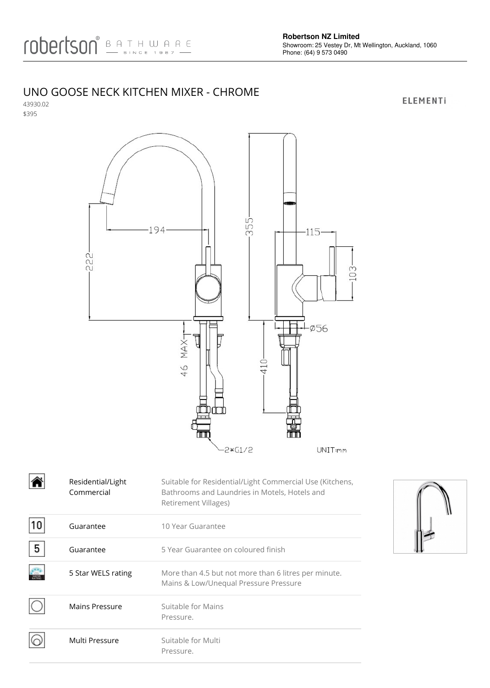## UNO GOOSE NECK KITCHEN MIXER - CHROME

43930.02 \$395



|   | Residential/Light<br>Commercial | Suitable for Residential/Light Commercial Use (Kitchens,<br>Bathrooms and Laundries in Motels, Hotels and<br>Retirement Villages) |
|---|---------------------------------|-----------------------------------------------------------------------------------------------------------------------------------|
|   | Guarantee                       | 10 Year Guarantee                                                                                                                 |
| 5 | Guarantee                       | 5 Year Guarantee on coloured finish                                                                                               |
|   | 5 Star WELS rating              | More than 4.5 but not more than 6 litres per minute.<br>Mains & Low/Unequal Pressure Pressure                                     |
|   | Mains Pressure                  | Suitable for Mains<br>Pressure.                                                                                                   |
|   | Multi Pressure                  | Suitable for Multi<br>Pressure.                                                                                                   |



**ELEMENTI**